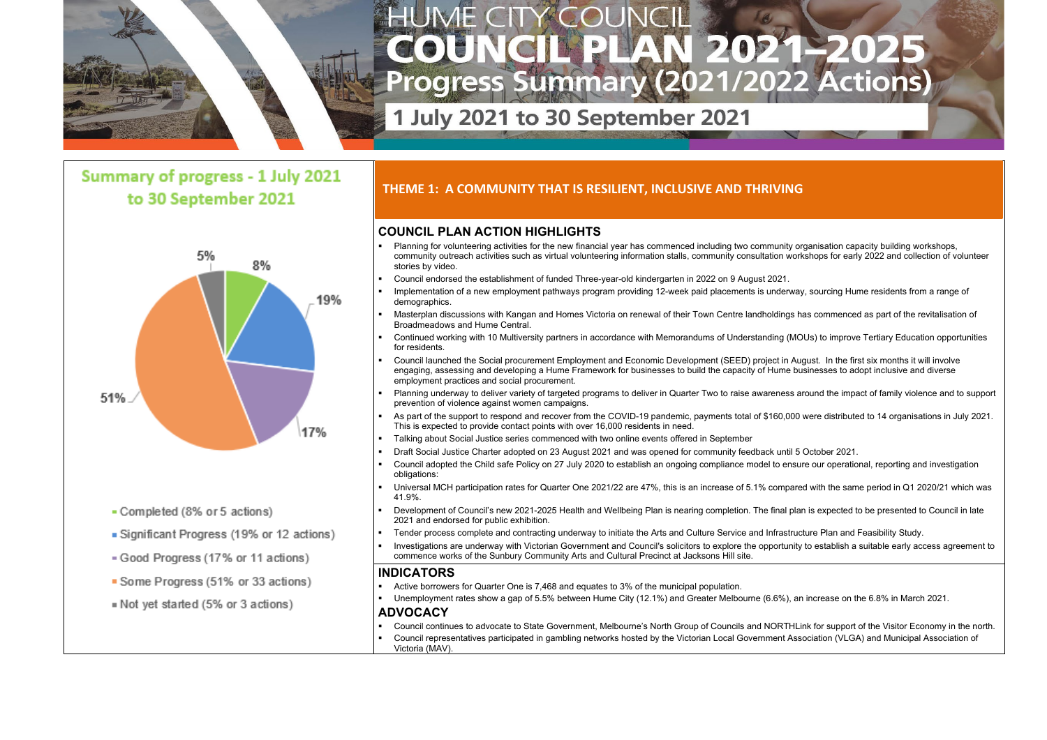

# Summary of progress - 1 July 2021 to 30 September 2021



- Completed (8% or 5 actions)
- Significant Progress (19% or 12 actions)
- Good Progress (17% or 11 actions)
- Some Progress (51% or 33 actions)
- Not yet started (5% or 3 actions)

## **COUNCIL PLAN ACTION HIGHLIGHTS**

- Planning for volunteering activities for the new financial year has commenced including two community organisation capacity building workshops, community outreach activities such as virtual volunteering information stalls, community consultation workshops for early 2022 and collection of volunteer stories by video.
- Council endorsed the establishment of funded Three-year-old kindergarten in 2022 on 9 August 2021.
- Implementation of a new employment pathways program providing 12-week paid placements is underway, sourcing Hume residents from a range of demographics.
- Masterplan discussions with Kangan and Homes Victoria on renewal of their Town Centre landholdings has commenced as part of the revitalisation of Broadmeadows and Hume Central.
- Continued working with 10 Multiversity partners in accordance with Memorandums of Understanding (MOUs) to improve Tertiary Education opportunities for residents.
- Council launched the Social procurement Employment and Economic Development (SEED) project in August. In the first six months it will involve engaging, assessing and developing a Hume Framework for businesses to build the capacity of Hume businesses to adopt inclusive and diverse employment practices and social procurement.
- Planning underway to deliver variety of targeted programs to deliver in Quarter Two to raise awareness around the impact of family violence and to support prevention of violence against women campaigns.
- As part of the support to respond and recover from the COVID-19 pandemic, payments total of \$160,000 were distributed to 14 organisations in July 2021. This is expected to provide contact points with over 16,000 residents in need.
- Talking about Social Justice series commenced with two online events offered in September
- Draft Social Justice Charter adopted on 23 August 2021 and was opened for community feedback until 5 October 2021.
- Council adopted the Child safe Policy on 27 July 2020 to establish an ongoing compliance model to ensure our operational, reporting and investigation obligations:
- Universal MCH participation rates for Quarter One 2021/22 are 47%, this is an increase of 5.1% compared with the same period in Q1 2020/21 which was 41.9%.
- Development of Council's new 2021-2025 Health and Wellbeing Plan is nearing completion. The final plan is expected to be presented to Council in late 2021 and endorsed for public exhibition.
- Tender process complete and contracting underway to initiate the Arts and Culture Service and Infrastructure Plan and Feasibility Study.
- Investigations are underway with Victorian Government and Council's solicitors to explore the opportunity to establish a suitable early access agreement to commence works of the Sunbury Community Arts and Cultural Precinct at Jacksons Hill site.

### **INDICATORS**

- Active borrowers for Quarter One is 7,468 and equates to 3% of the municipal population.
- Unemployment rates show a gap of 5.5% between Hume City (12.1%) and Greater Melbourne (6.6%), an increase on the 6.8% in March 2021.

#### **ADVOCACY**

- Council continues to advocate to State Government, Melbourne's North Group of Councils and NORTHLink for support of the Visitor Economy in the north. Council representatives participated in gambling networks hosted by the Victorian Local Government Association (VLGA) and Municipal Association of
- Victoria (MAV).

- 
- 

# **THEME 1: A COMMUNITY THAT IS RESILIENT, INCLUSIVE AND THRIVING**